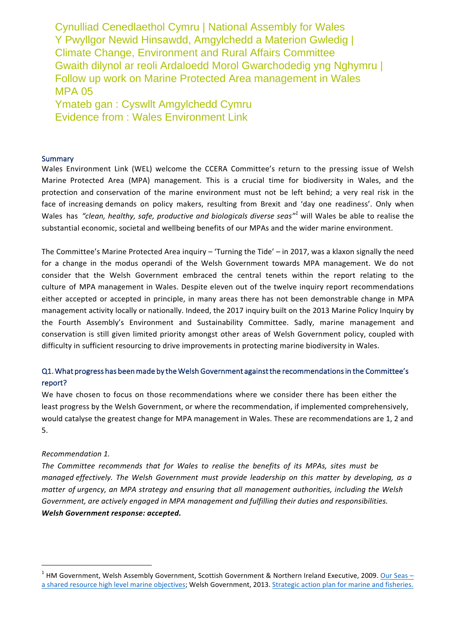Cynulliad Cenedlaethol Cymru | National Assembly for Wales Y Pwyllgor Newid Hinsawdd, Amgylchedd a Materion Gwledig | Climate Change, Environment and Rural Affairs Committee Gwaith dilynol ar reoli Ardaloedd Morol Gwarchodedig yng Nghymru | Follow up work on Marine Protected Area management in Wales MPA 05

Ymateb gan : Cyswllt Amgylchedd Cymru Evidence from : Wales Environment Link

#### **Summary**

Wales Environment Link (WEL) welcome the CCERA Committee's return to the pressing issue of Welsh Marine Protected Area (MPA) management. This is a crucial time for biodiversity in Wales, and the protection and conservation of the marine environment must not be left behind; a very real risk in the face of increasing demands on policy makers, resulting from Brexit and 'day one readiness'. Only when Wales has "clean, healthy, safe, productive and biologicals diverse seas"<sup>1</sup> will Wales be able to realise the substantial economic, societal and wellbeing benefits of our MPAs and the wider marine environment.

The Committee's Marine Protected Area inquiry – 'Turning the Tide' – in 2017, was a klaxon signally the need for a change in the modus operandi of the Welsh Government towards MPA management. We do not consider that the Welsh Government embraced the central tenets within the report relating to the culture of MPA management in Wales. Despite eleven out of the twelve inquiry report recommendations either accepted or accepted in principle, in many areas there has not been demonstrable change in MPA management activity locally or nationally. Indeed, the 2017 inquiry built on the 2013 Marine Policy Inquiry by the Fourth Assembly's Environment and Sustainability Committee. Sadly, marine management and conservation is still given limited priority amongst other areas of Welsh Government policy, coupled with difficulty in sufficient resourcing to drive improvements in protecting marine biodiversity in Wales.

# Q1. What progress has been made by the Welsh Government against the recommendations in the Committee's report?

We have chosen to focus on those recommendations where we consider there has been either the least progress by the Welsh Government, or where the recommendation, if implemented comprehensively, would catalyse the greatest change for MPA management in Wales. These are recommendations are 1, 2 and 5. 

#### *Recommendation 1.*

*The Committee recommends that for Wales to realise the benefits of its MPAs, sites must be managed effectively. The Welsh Government must provide leadership on this matter by developing, as a matter of urgency, an MPA strategy and ensuring that all management authorities, including the Welsh Government, are actively engaged in MPA management and fulfilling their duties and responsibilities. Welsh Government response: accepted.* 

 $1$  HM Government, Welsh Assembly Government, Scottish Government & Northern Ireland Executive, 2009. Our Seas – a shared resource high level marine objectives; Welsh Government, 2013. Strategic action plan for marine and fisheries.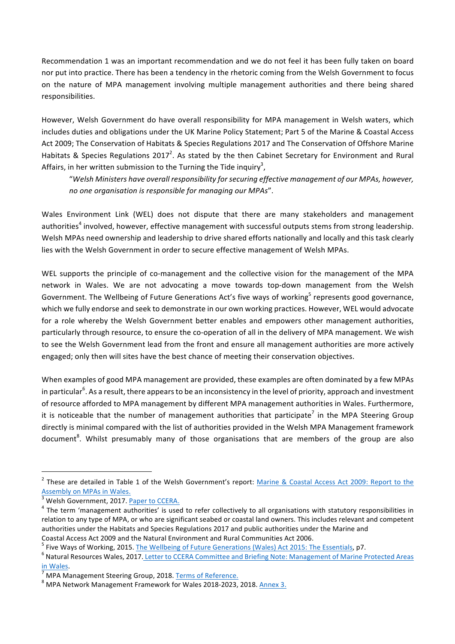Recommendation 1 was an important recommendation and we do not feel it has been fully taken on board nor put into practice. There has been a tendency in the rhetoric coming from the Welsh Government to focus on the nature of MPA management involving multiple management authorities and there being shared responsibilities.

However, Welsh Government do have overall responsibility for MPA management in Welsh waters, which includes duties and obligations under the UK Marine Policy Statement; Part 5 of the Marine & Coastal Access Act 2009; The Conservation of Habitats & Species Regulations 2017 and The Conservation of Offshore Marine Habitats & Species Regulations 2017<sup>2</sup>. As stated by the then Cabinet Secretary for Environment and Rural Affairs, in her written submission to the Turning the Tide inquiry<sup>3</sup>,

"*Welsh Ministers have overall responsibility for securing effective management of our MPAs, however, no* one organisation is responsible for managing our MPAs".

Wales Environment Link (WEL) does not dispute that there are many stakeholders and management authorities<sup>4</sup> involved, however, effective management with successful outputs stems from strong leadership. Welsh MPAs need ownership and leadership to drive shared efforts nationally and locally and this task clearly lies with the Welsh Government in order to secure effective management of Welsh MPAs.

WEL supports the principle of co-management and the collective vision for the management of the MPA network in Wales. We are not advocating a move towards top-down management from the Welsh Government. The Wellbeing of Future Generations Act's five ways of working<sup>5</sup> represents good governance, which we fully endorse and seek to demonstrate in our own working practices. However, WEL would advocate for a role whereby the Welsh Government better enables and empowers other management authorities, particularly through resource, to ensure the co-operation of all in the delivery of MPA management. We wish to see the Welsh Government lead from the front and ensure all management authorities are more actively engaged; only then will sites have the best chance of meeting their conservation objectives.

When examples of good MPA management are provided, these examples are often dominated by a few MPAs in particular $^6$ . As a result, there appears to be an inconsistency in the level of priority, approach and investment of resource afforded to MPA management by different MPA management authorities in Wales. Furthermore, it is noticeable that the number of management authorities that participate<sup>7</sup> in the MPA Steering Group directly is minimal compared with the list of authorities provided in the Welsh MPA Management framework document<sup>8</sup>. Whilst presumably many of those organisations that are members of the group are also

<sup>&</sup>lt;sup>2</sup> These are detailed in Table 1 of the Welsh Government's report: Marine & Coastal Access Act 2009: Report to the Assembly on MPAs in Wales.

 $^3$  Welsh Government, 2017. <u>Paper to CCERA.</u><br> $^4$  The term 'management authorities' is used to refer collectively to all organisations with statutory responsibilities in relation to any type of MPA, or who are significant seabed or coastal land owners. This includes relevant and competent authorities under the Habitats and Species Regulations 2017 and public authorities under the Marine and

Coastal Access Act 2009 and the Natural Environment and Rural Communities Act 2006.

<sup>&</sup>lt;sup>5</sup> Five Ways of Working, 2015. The Wellbeing of Future Generations (Wales) Act 2015: The Essentials, p7.<br><sup>6</sup> Natural Resources Wales, 2017. Letter to CCERA Committee and Briefing Note: Management of Marine Protected Area

in Wales.<br><sup>7</sup> MPA Management Steering Group, 2018. <u>Terms of Reference.</u><br><sup>8</sup> MPA Network Management Framework for Wales 2018-2023, 2018. <u>Annex 3.</u>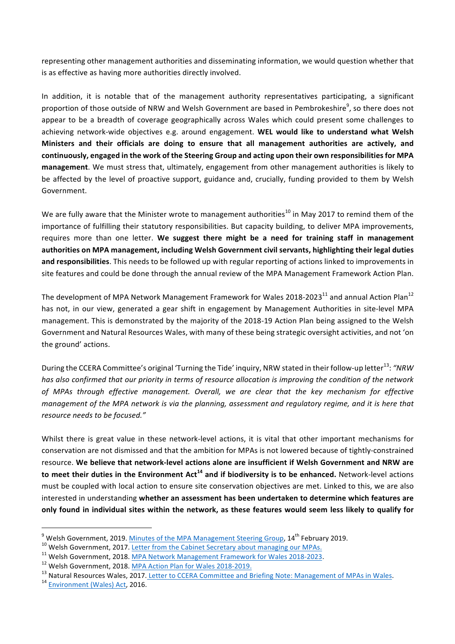representing other management authorities and disseminating information, we would question whether that is as effective as having more authorities directly involved.

In addition, it is notable that of the management authority representatives participating, a significant proportion of those outside of NRW and Welsh Government are based in Pembrokeshire<sup>9</sup>, so there does not appear to be a breadth of coverage geographically across Wales which could present some challenges to achieving network-wide objectives e.g. around engagement. WEL would like to understand what Welsh **Ministers** and their officials are doing to ensure that all management authorities are actively, and continuously, engaged in the work of the Steering Group and acting upon their own responsibilities for MPA management. We must stress that, ultimately, engagement from other management authorities is likely to be affected by the level of proactive support, guidance and, crucially, funding provided to them by Welsh Government. 

We are fully aware that the Minister wrote to management authorities<sup>10</sup> in May 2017 to remind them of the importance of fulfilling their statutory responsibilities. But capacity building, to deliver MPA improvements, requires more than one letter. We suggest there might be a need for training staff in management authorities on MPA management, including Welsh Government civil servants, highlighting their legal duties and responsibilities. This needs to be followed up with regular reporting of actions linked to improvements in site features and could be done through the annual review of the MPA Management Framework Action Plan.

The development of MPA Network Management Framework for Wales 2018-2023<sup>11</sup> and annual Action Plan<sup>12</sup> has not, in our view, generated a gear shift in engagement by Management Authorities in site-level MPA management. This is demonstrated by the majority of the 2018-19 Action Plan being assigned to the Welsh Government and Natural Resources Wales, with many of these being strategic oversight activities, and not 'on the ground' actions.

During the CCERA Committee's original 'Turning the Tide' inquiry, NRW stated in their follow-up letter<sup>13</sup>: *"NRW* has also confirmed that our priority in terms of resource allocation is improving the condition of the network of MPAs through effective management. Overall, we are clear that the key mechanism for effective *management of the MPA network is via the planning, assessment and regulatory regime, and it is here that resource needs to be focused."*

Whilst there is great value in these network-level actions, it is vital that other important mechanisms for conservation are not dismissed and that the ambition for MPAs is not lowered because of tightly-constrained resource. We believe that network-level actions alone are insufficient if Welsh Government and NRW are **to meet their duties in the Environment Act<sup>14</sup> and if biodiversity is to be enhanced. Network-level actions** must be coupled with local action to ensure site conservation objectives are met. Linked to this, we are also interested in understanding whether an assessment has been undertaken to determine which features are only found in individual sites within the network, as these features would seem less likely to qualify for

<sup>&</sup>lt;sup>9</sup> Welsh Government, 2019. <u>Minutes of the MPA Management Steering Group</u>,  $14^{\text{th}}$  February 2019.<br><sup>10</sup> Welsh Government, 2017. <u>Letter from the Cabinet Secretary about managing our MPAs.</u><br><sup>11</sup> Welsh Government, 2018.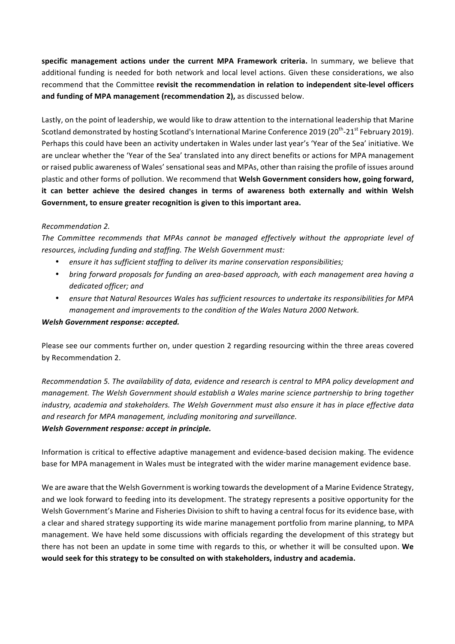specific management actions under the current MPA Framework criteria. In summary, we believe that additional funding is needed for both network and local level actions. Given these considerations, we also recommend that the Committee revisit the recommendation in relation to independent site-level officers and funding of MPA management (recommendation 2), as discussed below.

Lastly, on the point of leadership, we would like to draw attention to the international leadership that Marine Scotland demonstrated by hosting Scotland's International Marine Conference 2019 (20<sup>th</sup>-21<sup>st</sup> February 2019). Perhaps this could have been an activity undertaken in Wales under last year's 'Year of the Sea' initiative. We are unclear whether the 'Year of the Sea' translated into any direct benefits or actions for MPA management or raised public awareness of Wales' sensational seas and MPAs, other than raising the profile of issues around plastic and other forms of pollution. We recommend that Welsh Government considers how, going forward, it can better achieve the desired changes in terms of awareness both externally and within Welsh Government, to ensure greater recognition is given to this important area.

## *Recommendation 2.*

The Committee recommends that MPAs cannot be managed effectively without the appropriate level of resources, including funding and staffing. The Welsh Government must:

- ensure it has sufficient staffing to deliver its marine conservation responsibilities;
- bring forward proposals for funding an area-based approach, with each management area having a *dedicated officer; and*
- ensure that Natural Resources Wales has sufficient resources to undertake its responsibilities for MPA *management and improvements to the condition of the Wales Natura 2000 Network.*

### *Welsh Government response: accepted.*

Please see our comments further on, under question 2 regarding resourcing within the three areas covered by Recommendation 2.

*Recommendation 5. The availability of data, evidence and research is central to MPA policy development and management.* The Welsh Government should establish a Wales marine science partnership to bring together industry, academia and stakeholders. The Welsh Government must also ensure it has in place effective data and research for MPA management, including monitoring and surveillance. *Welsh Government response: accept in principle.*

Information is critical to effective adaptive management and evidence-based decision making. The evidence base for MPA management in Wales must be integrated with the wider marine management evidence base.

We are aware that the Welsh Government is working towards the development of a Marine Evidence Strategy, and we look forward to feeding into its development. The strategy represents a positive opportunity for the Welsh Government's Marine and Fisheries Division to shift to having a central focus for its evidence base, with a clear and shared strategy supporting its wide marine management portfolio from marine planning, to MPA management. We have held some discussions with officials regarding the development of this strategy but there has not been an update in some time with regards to this, or whether it will be consulted upon. We would seek for this strategy to be consulted on with stakeholders, industry and academia.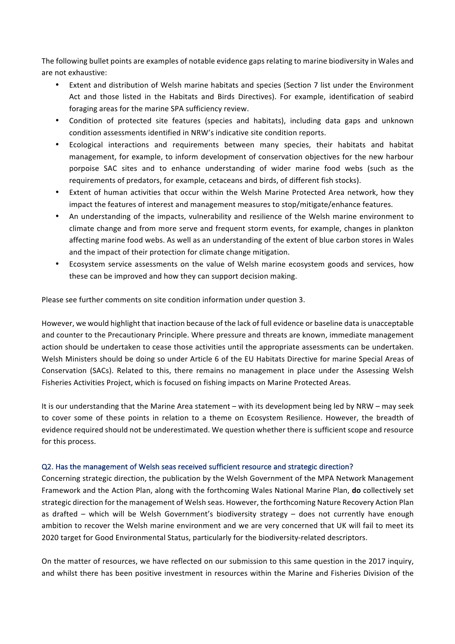The following bullet points are examples of notable evidence gaps relating to marine biodiversity in Wales and are not exhaustive:

- Extent and distribution of Welsh marine habitats and species (Section 7 list under the Environment Act and those listed in the Habitats and Birds Directives). For example, identification of seabird foraging areas for the marine SPA sufficiency review.
- Condition of protected site features (species and habitats), including data gaps and unknown condition assessments identified in NRW's indicative site condition reports.
- Ecological interactions and requirements between many species, their habitats and habitat management, for example, to inform development of conservation objectives for the new harbour porpoise SAC sites and to enhance understanding of wider marine food webs (such as the requirements of predators, for example, cetaceans and birds, of different fish stocks).
- Extent of human activities that occur within the Welsh Marine Protected Area network, how they impact the features of interest and management measures to stop/mitigate/enhance features.
- An understanding of the impacts, vulnerability and resilience of the Welsh marine environment to climate change and from more serve and frequent storm events, for example, changes in plankton affecting marine food webs. As well as an understanding of the extent of blue carbon stores in Wales and the impact of their protection for climate change mitigation.
- Ecosystem service assessments on the value of Welsh marine ecosystem goods and services, how these can be improved and how they can support decision making.

Please see further comments on site condition information under question 3.

However, we would highlight that inaction because of the lack of full evidence or baseline data is unacceptable and counter to the Precautionary Principle. Where pressure and threats are known, immediate management action should be undertaken to cease those activities until the appropriate assessments can be undertaken. Welsh Ministers should be doing so under Article 6 of the EU Habitats Directive for marine Special Areas of Conservation (SACs). Related to this, there remains no management in place under the Assessing Welsh Fisheries Activities Project, which is focused on fishing impacts on Marine Protected Areas.

It is our understanding that the Marine Area statement – with its development being led by NRW – may seek to cover some of these points in relation to a theme on Ecosystem Resilience. However, the breadth of evidence required should not be underestimated. We question whether there is sufficient scope and resource for this process.

### Q2. Has the management of Welsh seas received sufficient resource and strategic direction?

Concerning strategic direction, the publication by the Welsh Government of the MPA Network Management Framework and the Action Plan, along with the forthcoming Wales National Marine Plan, **do** collectively set strategic direction for the management of Welsh seas. However, the forthcoming Nature Recovery Action Plan as drafted  $-$  which will be Welsh Government's biodiversity strategy  $-$  does not currently have enough ambition to recover the Welsh marine environment and we are very concerned that UK will fail to meet its 2020 target for Good Environmental Status, particularly for the biodiversity-related descriptors.

On the matter of resources, we have reflected on our submission to this same question in the 2017 inquiry, and whilst there has been positive investment in resources within the Marine and Fisheries Division of the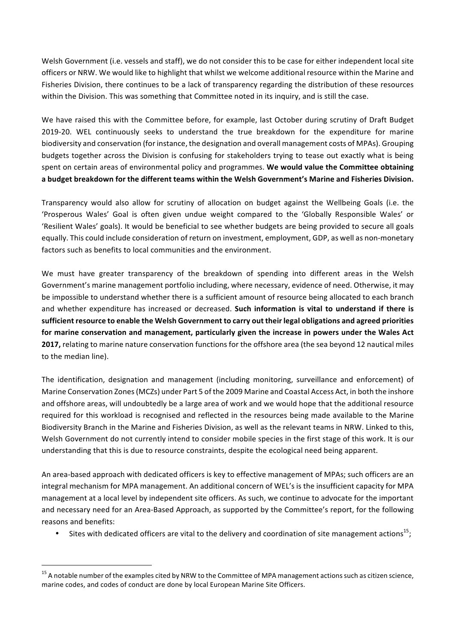Welsh Government (i.e. vessels and staff), we do not consider this to be case for either independent local site officers or NRW. We would like to highlight that whilst we welcome additional resource within the Marine and Fisheries Division, there continues to be a lack of transparency regarding the distribution of these resources within the Division. This was something that Committee noted in its inquiry, and is still the case.

We have raised this with the Committee before, for example, last October during scrutiny of Draft Budget 2019-20. WEL continuously seeks to understand the true breakdown for the expenditure for marine biodiversity and conservation (for instance, the designation and overall management costs of MPAs). Grouping budgets together across the Division is confusing for stakeholders trying to tease out exactly what is being spent on certain areas of environmental policy and programmes. We would value the Committee obtaining a budget breakdown for the different teams within the Welsh Government's Marine and Fisheries Division.

Transparency would also allow for scrutiny of allocation on budget against the Wellbeing Goals (i.e. the 'Prosperous Wales' Goal is often given undue weight compared to the 'Globally Responsible Wales' or 'Resilient Wales' goals). It would be beneficial to see whether budgets are being provided to secure all goals equally. This could include consideration of return on investment, employment, GDP, as well as non-monetary factors such as benefits to local communities and the environment.

We must have greater transparency of the breakdown of spending into different areas in the Welsh Government's marine management portfolio including, where necessary, evidence of need. Otherwise, it may be impossible to understand whether there is a sufficient amount of resource being allocated to each branch and whether expenditure has increased or decreased. **Such information is vital to understand if there is** sufficient resource to enable the Welsh Government to carry out their legal obligations and agreed priorities for marine conservation and management, particularly given the increase in powers under the Wales Act **2017**, relating to marine nature conservation functions for the offshore area (the sea beyond 12 nautical miles to the median line).

The identification, designation and management (including monitoring, surveillance and enforcement) of Marine Conservation Zones (MCZs) under Part 5 of the 2009 Marine and Coastal Access Act, in both the inshore and offshore areas, will undoubtedly be a large area of work and we would hope that the additional resource required for this workload is recognised and reflected in the resources being made available to the Marine Biodiversity Branch in the Marine and Fisheries Division, as well as the relevant teams in NRW. Linked to this, Welsh Government do not currently intend to consider mobile species in the first stage of this work. It is our understanding that this is due to resource constraints, despite the ecological need being apparent.

An area-based approach with dedicated officers is key to effective management of MPAs; such officers are an integral mechanism for MPA management. An additional concern of WEL's is the insufficient capacity for MPA management at a local level by independent site officers. As such, we continue to advocate for the important and necessary need for an Area-Based Approach, as supported by the Committee's report, for the following reasons and benefits:

Sites with dedicated officers are vital to the delivery and coordination of site management actions<sup>15</sup>;

 $15$  A notable number of the examples cited by NRW to the Committee of MPA management actions such as citizen science, marine codes, and codes of conduct are done by local European Marine Site Officers.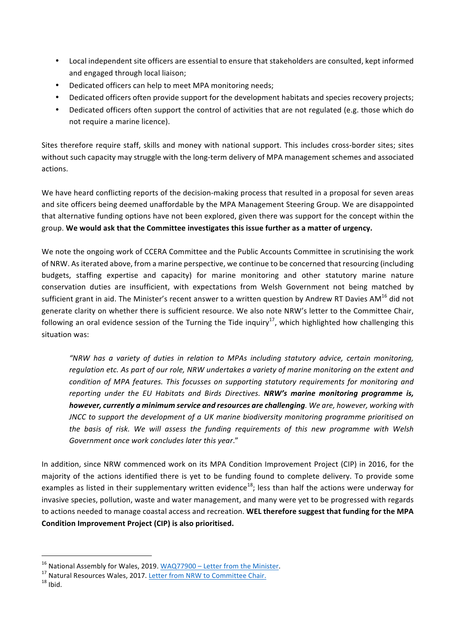- Local independent site officers are essential to ensure that stakeholders are consulted, kept informed and engaged through local liaison;
- Dedicated officers can help to meet MPA monitoring needs;
- Dedicated officers often provide support for the development habitats and species recovery projects;
- Dedicated officers often support the control of activities that are not regulated (e.g. those which do not require a marine licence).

Sites therefore require staff, skills and money with national support. This includes cross-border sites; sites without such capacity may struggle with the long-term delivery of MPA management schemes and associated actions.

We have heard conflicting reports of the decision-making process that resulted in a proposal for seven areas and site officers being deemed unaffordable by the MPA Management Steering Group. We are disappointed that alternative funding options have not been explored, given there was support for the concept within the group. We would ask that the Committee investigates this issue further as a matter of urgency.

We note the ongoing work of CCERA Committee and the Public Accounts Committee in scrutinising the work of NRW. As iterated above, from a marine perspective, we continue to be concerned that resourcing (including budgets, staffing expertise and capacity) for marine monitoring and other statutory marine nature conservation duties are insufficient, with expectations from Welsh Government not being matched by sufficient grant in aid. The Minister's recent answer to a written question by Andrew RT Davies AM<sup>16</sup> did not generate clarity on whether there is sufficient resource. We also note NRW's letter to the Committee Chair, following an oral evidence session of the Turning the Tide inquiry<sup>17</sup>, which highlighted how challenging this situation was:

*"NRW has a variety of duties in relation to MPAs including statutory advice, certain monitoring,*  regulation etc. As part of our role, NRW undertakes a variety of marine monitoring on the extent and *condition* of MPA features. This focusses on supporting statutory requirements for monitoring and *reporting under the EU Habitats and Birds Directives. NRW's marine monitoring programme is,* however, currently a minimum service and resources are challenging. We are, however, working with *JNCC* to support the development of a UK marine biodiversity monitoring programme prioritised on *the basis of risk. We will assess the funding requirements of this new programme with Welsh* Government once work concludes later this year."

In addition, since NRW commenced work on its MPA Condition Improvement Project (CIP) in 2016, for the majority of the actions identified there is yet to be funding found to complete delivery. To provide some examples as listed in their supplementary written evidence<sup>18</sup>; less than half the actions were underway for invasive species, pollution, waste and water management, and many were yet to be progressed with regards to actions needed to manage coastal access and recreation. WEL therefore suggest that funding for the MPA Condition Improvement Project (CIP) is also prioritised.

<sup>&</sup>lt;sup>16</sup> National Assembly for Wales, 2019. <u>WAQ77900 – Letter from the Minister</u>.<br><sup>17</sup> Natural Resources Wales, 2017. <u>Letter from NRW to Committee Chair.</u> <sup>18</sup> Ibid.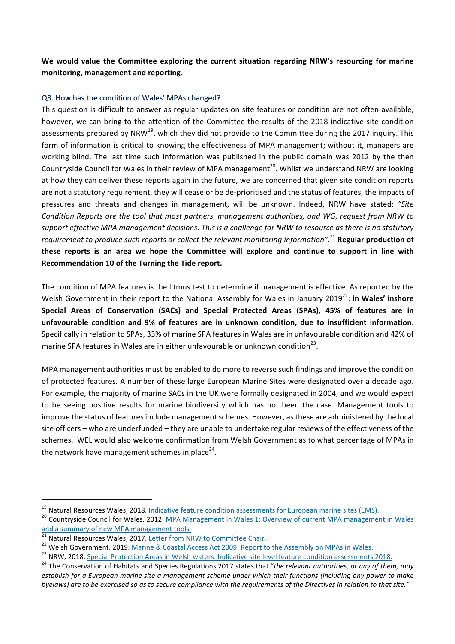We would value the Committee exploring the current situation regarding NRW's resourcing for marine **monitoring, management and reporting.**

### Q3. How has the condition of Wales' MPAs changed?

This question is difficult to answer as regular updates on site features or condition are not often available, however, we can bring to the attention of the Committee the results of the 2018 indicative site condition assessments prepared by NRW<sup>19</sup>, which they did not provide to the Committee during the 2017 inquiry. This form of information is critical to knowing the effectiveness of MPA management; without it, managers are working blind. The last time such information was published in the public domain was 2012 by the then Countryside Council for Wales in their review of MPA management<sup>20</sup>. Whilst we understand NRW are looking at how they can deliver these reports again in the future, we are concerned that given site condition reports are not a statutory requirement, they will cease or be de-prioritised and the status of features, the impacts of pressures and threats and changes in management, will be unknown. Indeed, NRW have stated: "Site *Condition Reports are the tool that most partners, management authorities, and WG, request from NRW to* support effective MPA management decisions. This is a challenge for NRW to resource as there is no statutory requirement to produce such reports or collect the relevant monitoring information".<sup>21</sup> Regular production of **these reports** is an area we hope the Committee will explore and continue to support in line with Recommendation 10 of the Turning the Tide report.

The condition of MPA features is the litmus test to determine if management is effective. As reported by the Welsh Government in their report to the National Assembly for Wales in January 2019<sup>22</sup>: in Wales' inshore **Special Areas of Conservation (SACs) and Special Protected Areas (SPAs), 45% of features are in**  unfavourable condition and 9% of features are in unknown condition, due to insufficient information. Specifically in relation to SPAs, 33% of marine SPA features in Wales are in unfavourable condition and 42% of marine SPA features in Wales are in either unfavourable or unknown condition<sup>23</sup>.

MPA management authorities must be enabled to do more to reverse such findings and improve the condition of protected features. A number of these large European Marine Sites were designated over a decade ago. For example, the majority of marine SACs in the UK were formally designated in 2004, and we would expect to be seeing positive results for marine biodiversity which has not been the case. Management tools to improve the status of features include management schemes. However, as these are administered by the local site officers – who are underfunded – they are unable to undertake regular reviews of the effectiveness of the schemes. WEL would also welcome confirmation from Welsh Government as to what percentage of MPAs in the network have management schemes in place<sup>24</sup>.

<sup>&</sup>lt;sup>19</sup> Natural Resources Wales, 2018. <u>Indicative feature condition assessments for European marine sites (EMS).</u>  $^{20}$  Countryside Council for Wales, 2012. <u>MPA Management in Wales 1: Overview of current MPA management in</u> and a summary of new MPA management tools.<br>
<sup>21</sup> Natural Resources Wales, 2017. Letter from NRW to Committee Chair.

<sup>&</sup>lt;sup>22</sup> Welsh Government, 2019. Marine & Coastal Access Act 2009: Report to the Assembly on MPAs in Wales.<br><sup>23</sup> NRW, 2018. Special Protection Areas in Welsh waters: Indicative site level feature condition assessments 2018.<br><sup>2</sup> establish for a European marine site a management scheme under which their functions (including any power to make byelaws) are to be exercised so as to secure compliance with the requirements of the Directives in relation to that site."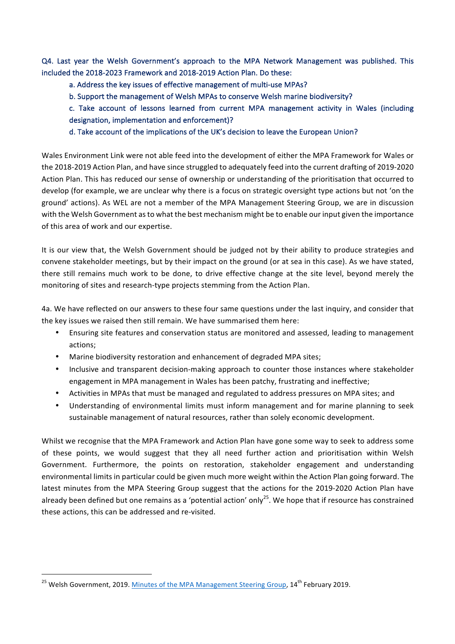Q4. Last year the Welsh Government's approach to the MPA Network Management was published. This included the 2018-2023 Framework and 2018-2019 Action Plan. Do these:

a. Address the key issues of effective management of multi-use MPAs?

b. Support the management of Welsh MPAs to conserve Welsh marine biodiversity?

c. Take account of lessons learned from current MPA management activity in Wales (including designation, implementation and enforcement)?

d. Take account of the implications of the UK's decision to leave the European Union?

Wales Environment Link were not able feed into the development of either the MPA Framework for Wales or the 2018-2019 Action Plan, and have since struggled to adequately feed into the current drafting of 2019-2020 Action Plan. This has reduced our sense of ownership or understanding of the prioritisation that occurred to develop (for example, we are unclear why there is a focus on strategic oversight type actions but not 'on the ground' actions). As WEL are not a member of the MPA Management Steering Group, we are in discussion with the Welsh Government as to what the best mechanism might be to enable our input given the importance of this area of work and our expertise.

It is our view that, the Welsh Government should be judged not by their ability to produce strategies and convene stakeholder meetings, but by their impact on the ground (or at sea in this case). As we have stated, there still remains much work to be done, to drive effective change at the site level, beyond merely the monitoring of sites and research-type projects stemming from the Action Plan.

4a. We have reflected on our answers to these four same questions under the last inquiry, and consider that the key issues we raised then still remain. We have summarised them here:

- Ensuring site features and conservation status are monitored and assessed, leading to management actions;
- Marine biodiversity restoration and enhancement of degraded MPA sites;
- Inclusive and transparent decision-making approach to counter those instances where stakeholder engagement in MPA management in Wales has been patchy, frustrating and ineffective;
- Activities in MPAs that must be managed and regulated to address pressures on MPA sites; and
- Understanding of environmental limits must inform management and for marine planning to seek sustainable management of natural resources, rather than solely economic development.

Whilst we recognise that the MPA Framework and Action Plan have gone some way to seek to address some of these points, we would suggest that they all need further action and prioritisation within Welsh Government. Furthermore, the points on restoration, stakeholder engagement and understanding environmental limits in particular could be given much more weight within the Action Plan going forward. The latest minutes from the MPA Steering Group suggest that the actions for the 2019-2020 Action Plan have already been defined but one remains as a 'potential action' only<sup>25</sup>. We hope that if resource has constrained these actions, this can be addressed and re-visited.

<sup>&</sup>lt;sup>25</sup> Welsh Government, 2019. Minutes of the MPA Management Steering Group, 14<sup>th</sup> February 2019.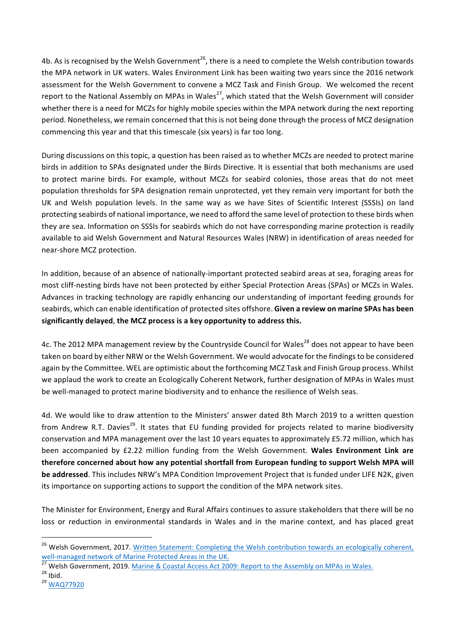4b. As is recognised by the Welsh Government<sup>26</sup>, there is a need to complete the Welsh contribution towards the MPA network in UK waters. Wales Environment Link has been waiting two years since the 2016 network assessment for the Welsh Government to convene a MCZ Task and Finish Group. We welcomed the recent report to the National Assembly on MPAs in Wales<sup>27</sup>, which stated that the Welsh Government will consider whether there is a need for MCZs for highly mobile species within the MPA network during the next reporting period. Nonetheless, we remain concerned that this is not being done through the process of MCZ designation commencing this year and that this timescale (six years) is far too long.

During discussions on this topic, a question has been raised as to whether MCZs are needed to protect marine birds in addition to SPAs designated under the Birds Directive. It is essential that both mechanisms are used to protect marine birds. For example, without MCZs for seabird colonies, those areas that do not meet population thresholds for SPA designation remain unprotected, yet they remain very important for both the UK and Welsh population levels. In the same way as we have Sites of Scientific Interest (SSSIs) on land protecting seabirds of national importance, we need to afford the same level of protection to these birds when they are sea. Information on SSSIs for seabirds which do not have corresponding marine protection is readily available to aid Welsh Government and Natural Resources Wales (NRW) in identification of areas needed for near-shore MCZ protection.

In addition, because of an absence of nationally-important protected seabird areas at sea, foraging areas for most cliff-nesting birds have not been protected by either Special Protection Areas (SPAs) or MCZs in Wales. Advances in tracking technology are rapidly enhancing our understanding of important feeding grounds for seabirds, which can enable identification of protected sites offshore. Given a review on marine SPAs has been significantly delayed, the MCZ process is a key opportunity to address this.

4c. The 2012 MPA management review by the Countryside Council for Wales<sup>28</sup> does not appear to have been taken on board by either NRW or the Welsh Government. We would advocate for the findings to be considered again by the Committee. WEL are optimistic about the forthcoming MCZ Task and Finish Group process. Whilst we applaud the work to create an Ecologically Coherent Network, further designation of MPAs in Wales must be well-managed to protect marine biodiversity and to enhance the resilience of Welsh seas.

4d. We would like to draw attention to the Ministers' answer dated 8th March 2019 to a written question from Andrew R.T. Davies<sup>29</sup>. It states that EU funding provided for projects related to marine biodiversity conservation and MPA management over the last 10 years equates to approximately £5.72 million, which has been accompanied by £2.22 million funding from the Welsh Government. Wales Environment Link are therefore concerned about how any potential shortfall from European funding to support Welsh MPA will **be addressed**. This includes NRW's MPA Condition Improvement Project that is funded under LIFE N2K, given its importance on supporting actions to support the condition of the MPA network sites.

The Minister for Environment, Energy and Rural Affairs continues to assure stakeholders that there will be no loss or reduction in environmental standards in Wales and in the marine context, and has placed great

<sup>&</sup>lt;sup>26</sup> Welsh Government, 2017. Written Statement: Completing the Welsh contribution towards an ecologically coherent, well-managed network of Marine Protected Areas in the UK.<br><sup>27</sup> Welsh Government, 2019. Marine & Coastal Access Act 2009: Report to the Assembly on MPAs in Wales.<br><sup>28</sup> Ibid. 29 WAQ77920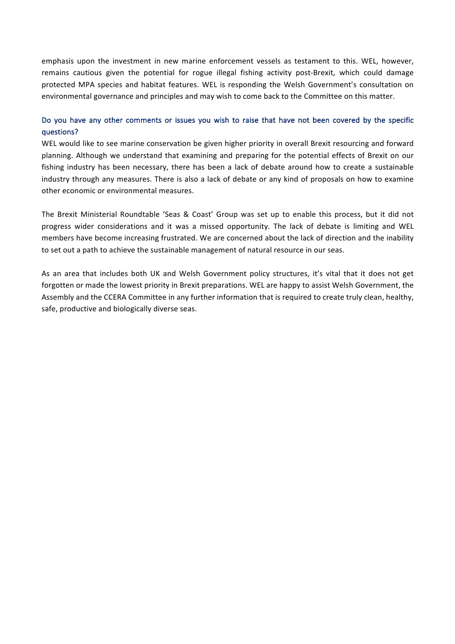emphasis upon the investment in new marine enforcement vessels as testament to this. WEL, however, remains cautious given the potential for rogue illegal fishing activity post-Brexit, which could damage protected MPA species and habitat features. WEL is responding the Welsh Government's consultation on environmental governance and principles and may wish to come back to the Committee on this matter.

# Do you have any other comments or issues you wish to raise that have not been covered by the specific questions?

WEL would like to see marine conservation be given higher priority in overall Brexit resourcing and forward planning. Although we understand that examining and preparing for the potential effects of Brexit on our fishing industry has been necessary, there has been a lack of debate around how to create a sustainable industry through any measures. There is also a lack of debate or any kind of proposals on how to examine other economic or environmental measures.

The Brexit Ministerial Roundtable 'Seas & Coast' Group was set up to enable this process, but it did not progress wider considerations and it was a missed opportunity. The lack of debate is limiting and WEL members have become increasing frustrated. We are concerned about the lack of direction and the inability to set out a path to achieve the sustainable management of natural resource in our seas.

As an area that includes both UK and Welsh Government policy structures, it's vital that it does not get forgotten or made the lowest priority in Brexit preparations. WEL are happy to assist Welsh Government, the Assembly and the CCERA Committee in any further information that is required to create truly clean, healthy, safe, productive and biologically diverse seas.